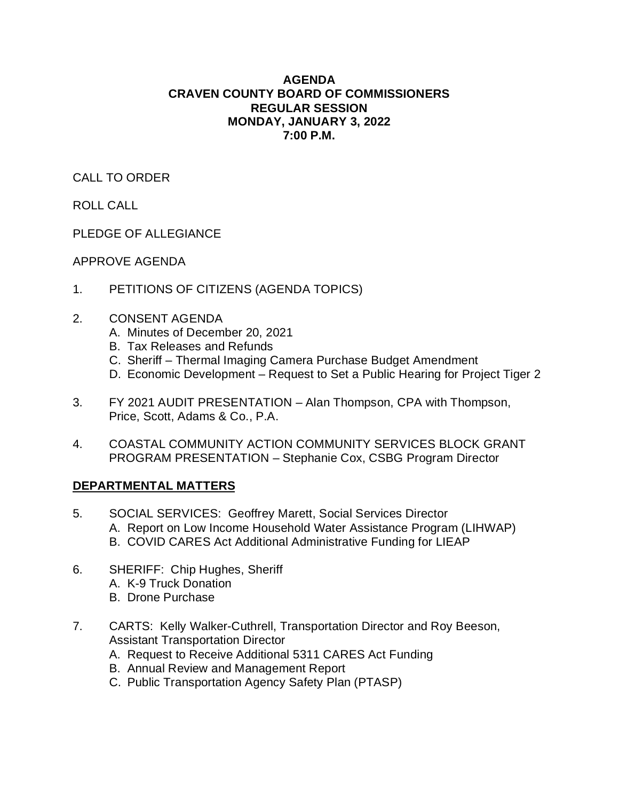# **AGENDA CRAVEN COUNTY BOARD OF COMMISSIONERS REGULAR SESSION MONDAY, JANUARY 3, 2022 7:00 P.M.**

CALL TO ORDER

ROLL CALL

PLEDGE OF ALLEGIANCE

APPROVE AGENDA

- 1. PETITIONS OF CITIZENS (AGENDA TOPICS)
- 2. CONSENT AGENDA
	- A. Minutes of December 20, 2021
	- B. Tax Releases and Refunds
	- C. Sheriff Thermal Imaging Camera Purchase Budget Amendment
	- D. Economic Development Request to Set a Public Hearing for Project Tiger 2
- 3. FY 2021 AUDIT PRESENTATION Alan Thompson, CPA with Thompson, Price, Scott, Adams & Co., P.A.
- 4. COASTAL COMMUNITY ACTION COMMUNITY SERVICES BLOCK GRANT PROGRAM PRESENTATION – Stephanie Cox, CSBG Program Director

# **DEPARTMENTAL MATTERS**

- 5. SOCIAL SERVICES: Geoffrey Marett, Social Services Director A. Report on Low Income Household Water Assistance Program (LIHWAP) B. COVID CARES Act Additional Administrative Funding for LIEAP
- 6. SHERIFF: Chip Hughes, Sheriff A. K-9 Truck Donation
	- B. Drone Purchase
- 7. CARTS: Kelly Walker-Cuthrell, Transportation Director and Roy Beeson, Assistant Transportation Director
	- A. Request to Receive Additional 5311 CARES Act Funding
	- B. Annual Review and Management Report
	- C. Public Transportation Agency Safety Plan (PTASP)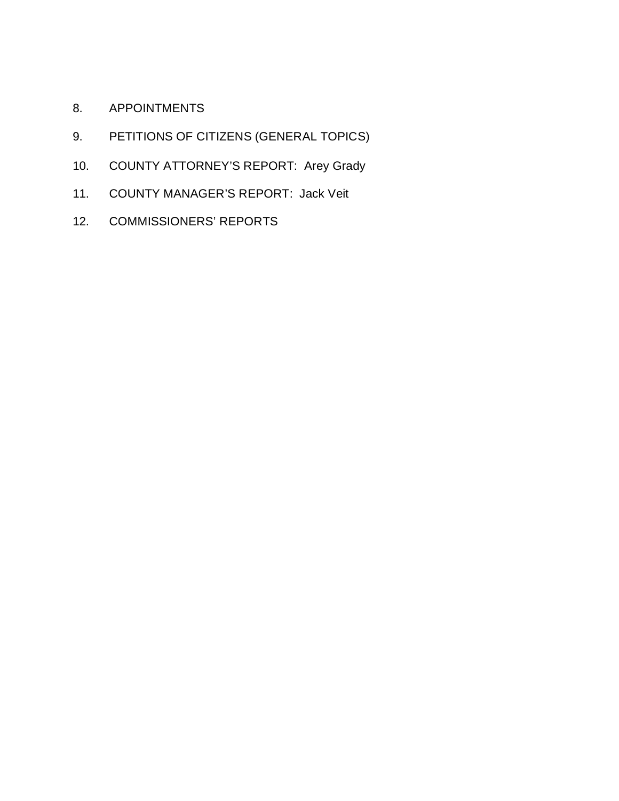- 8. APPOINTMENTS
- 9. PETITIONS OF CITIZENS (GENERAL TOPICS)
- 10. COUNTY ATTORNEY'S REPORT: Arey Grady
- 11. COUNTY MANAGER'S REPORT: Jack Veit
- 12. COMMISSIONERS' REPORTS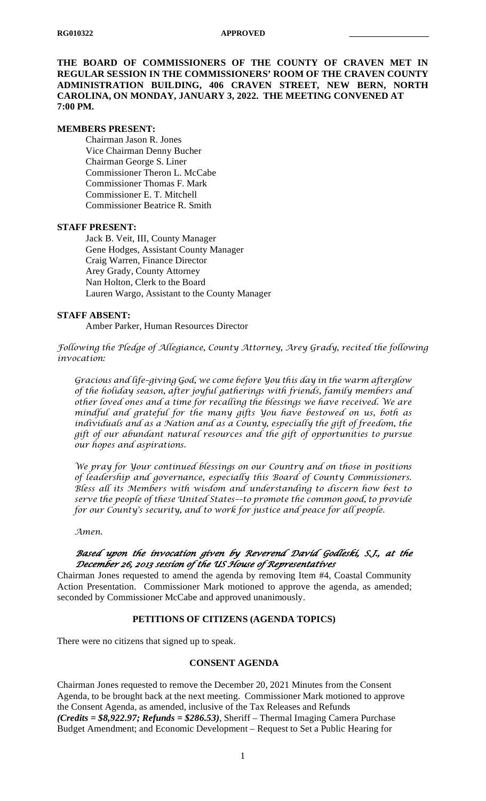**THE BOARD OF COMMISSIONERS OF THE COUNTY OF CRAVEN MET IN REGULAR SESSION IN THE COMMISSIONERS' ROOM OF THE CRAVEN COUNTY ADMINISTRATION BUILDING, 406 CRAVEN STREET, NEW BERN, NORTH CAROLINA, ON MONDAY, JANUARY 3, 2022. THE MEETING CONVENED AT 7:00 PM.**

## **MEMBERS PRESENT:**

Chairman Jason R. Jones Vice Chairman Denny Bucher Chairman George S. Liner Commissioner Theron L. McCabe Commissioner Thomas F. Mark Commissioner E. T. Mitchell Commissioner Beatrice R. Smith

## **STAFF PRESENT:**

Jack B. Veit, III, County Manager Gene Hodges, Assistant County Manager Craig Warren, Finance Director Arey Grady, County Attorney Nan Holton, Clerk to the Board Lauren Wargo, Assistant to the County Manager

## **STAFF ABSENT:**

Amber Parker, Human Resources Director

*Following the Pledge of Allegiance, County Attorney, Arey Grady, recited the following invocation:*

*Gracious and life–giving God, we come before You this day in the warm afterglow of the holiday season, after joyful gatherings with friends, family members and other loved ones and a time for recalling the blessings we have received. We are mindful and grateful for the many gifts You have bestowed on us, both as individuals and as a Nation and as a County, especially the gift of freedom, the gift of our abundant natural resources and the gift of opportunities to pursue our hopes and aspirations.*

*We pray for Your continued blessings on our Country and on those in positions of leadership and governance, especially this Board of County Commissioners. Bless all its Members with wisdom and understanding to discern how best to serve the people of these United States––to promote the common good, to provide for our County's security, and to work for justice and peace for all people.*

*Amen.*

# *Based upon the invocation given by Reverend David Godleski, S.J., at the December 26, 2013 session of the US House of Representatives*

Chairman Jones requested to amend the agenda by removing Item #4, Coastal Community Action Presentation. Commissioner Mark motioned to approve the agenda, as amended; seconded by Commissioner McCabe and approved unanimously.

## **PETITIONS OF CITIZENS (AGENDA TOPICS)**

There were no citizens that signed up to speak.

# **CONSENT AGENDA**

Chairman Jones requested to remove the December 20, 2021 Minutes from the Consent Agenda, to be brought back at the next meeting. Commissioner Mark motioned to approve the Consent Agenda, as amended, inclusive of the Tax Releases and Refunds *(Credits = \$8,922.97; Refunds = \$286.53)*, Sheriff – Thermal Imaging Camera Purchase Budget Amendment; and Economic Development – Request to Set a Public Hearing for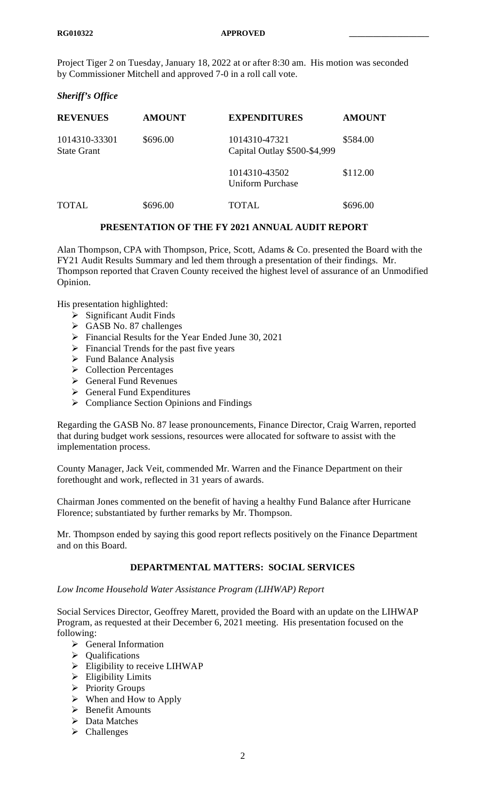Project Tiger 2 on Tuesday, January 18, 2022 at or after 8:30 am. His motion was seconded by Commissioner Mitchell and approved 7-0 in a roll call vote.

# *Sheriff's Office*

| <b>REVENUES</b>                     | <b>AMOUNT</b> | <b>EXPENDITURES</b>                           | <b>AMOUNT</b> |
|-------------------------------------|---------------|-----------------------------------------------|---------------|
| 1014310-33301<br><b>State Grant</b> | \$696.00      | 1014310-47321<br>Capital Outlay \$500-\$4,999 | \$584.00      |
|                                     |               | 1014310-43502<br><b>Uniform Purchase</b>      | \$112.00      |
| TOTAL                               | \$696.00      | TOTAL.                                        | \$696.00      |

# **PRESENTATION OF THE FY 2021 ANNUAL AUDIT REPORT**

Alan Thompson, CPA with Thompson, Price, Scott, Adams & Co. presented the Board with the FY21 Audit Results Summary and led them through a presentation of their findings. Mr. Thompson reported that Craven County received the highest level of assurance of an Unmodified Opinion.

His presentation highlighted:

- $\triangleright$  Significant Audit Finds
- GASB No. 87 challenges
- Financial Results for the Year Ended June 30, 2021
- $\triangleright$  Financial Trends for the past five years
- $\triangleright$  Fund Balance Analysis
- $\triangleright$  Collection Percentages
- General Fund Revenues
- $\triangleright$  General Fund Expenditures
- $\triangleright$  Compliance Section Opinions and Findings

Regarding the GASB No. 87 lease pronouncements, Finance Director, Craig Warren, reported that during budget work sessions, resources were allocated for software to assist with the implementation process.

County Manager, Jack Veit, commended Mr. Warren and the Finance Department on their forethought and work, reflected in 31 years of awards.

Chairman Jones commented on the benefit of having a healthy Fund Balance after Hurricane Florence; substantiated by further remarks by Mr. Thompson.

Mr. Thompson ended by saying this good report reflects positively on the Finance Department and on this Board.

# **DEPARTMENTAL MATTERS: SOCIAL SERVICES**

# *Low Income Household Water Assistance Program (LIHWAP) Report*

Social Services Director, Geoffrey Marett, provided the Board with an update on the LIHWAP Program, as requested at their December 6, 2021 meeting. His presentation focused on the following:

- General Information
- $\triangleright$  Oualifications
- $\triangleright$  Eligibility to receive LIHWAP
- $\triangleright$  Eligibility Limits
- $\triangleright$  Priority Groups
- $\triangleright$  When and How to Apply
- > Benefit Amounts
- > Data Matches
- $\triangleright$  Challenges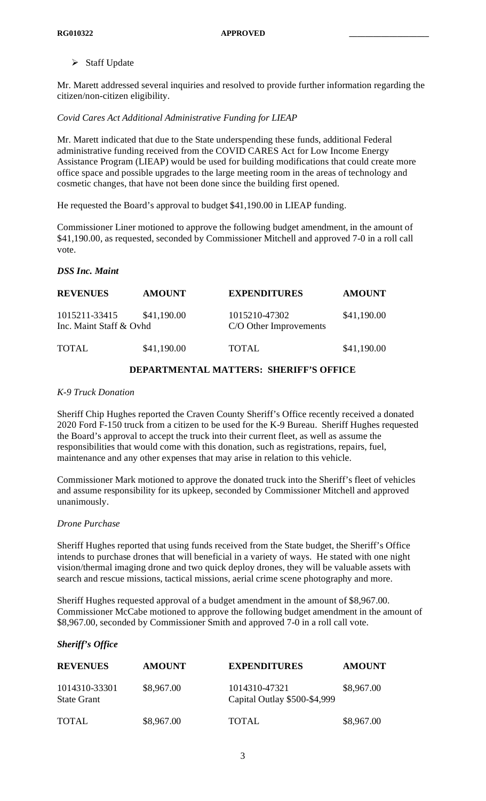$\triangleright$  Staff Update

Mr. Marett addressed several inquiries and resolved to provide further information regarding the citizen/non-citizen eligibility.

*Covid Cares Act Additional Administrative Funding for LIEAP*

Mr. Marett indicated that due to the State underspending these funds, additional Federal administrative funding received from the COVID CARES Act for Low Income Energy Assistance Program (LIEAP) would be used for building modifications that could create more office space and possible upgrades to the large meeting room in the areas of technology and cosmetic changes, that have not been done since the building first opened.

He requested the Board's approval to budget \$41,190.00 in LIEAP funding.

Commissioner Liner motioned to approve the following budget amendment, in the amount of \$41,190.00, as requested, seconded by Commissioner Mitchell and approved 7-0 in a roll call vote.

# *DSS Inc. Maint*

| <b>REVENUES</b>                          | <b>AMOUNT</b> | <b>EXPENDITURES</b>                     | <b>AMOUNT</b> |
|------------------------------------------|---------------|-----------------------------------------|---------------|
| 1015211-33415<br>Inc. Maint Staff & Ovhd | \$41,190.00   | 1015210-47302<br>C/O Other Improvements | \$41,190.00   |
| <b>TOTAL</b>                             | \$41,190.00   | TOTAL                                   | \$41,190.00   |

# **DEPARTMENTAL MATTERS: SHERIFF'S OFFICE**

# *K-9 Truck Donation*

Sheriff Chip Hughes reported the Craven County Sheriff's Office recently received a donated 2020 Ford F-150 truck from a citizen to be used for the K-9 Bureau. Sheriff Hughes requested the Board's approval to accept the truck into their current fleet, as well as assume the responsibilities that would come with this donation, such as registrations, repairs, fuel, maintenance and any other expenses that may arise in relation to this vehicle.

Commissioner Mark motioned to approve the donated truck into the Sheriff's fleet of vehicles and assume responsibility for its upkeep, seconded by Commissioner Mitchell and approved unanimously.

## *Drone Purchase*

Sheriff Hughes reported that using funds received from the State budget, the Sheriff's Office intends to purchase drones that will beneficial in a variety of ways. He stated with one night vision/thermal imaging drone and two quick deploy drones, they will be valuable assets with search and rescue missions, tactical missions, aerial crime scene photography and more.

Sheriff Hughes requested approval of a budget amendment in the amount of \$8,967.00. Commissioner McCabe motioned to approve the following budget amendment in the amount of \$8,967.00, seconded by Commissioner Smith and approved 7-0 in a roll call vote.

# *Sheriff's Office*

| <b>REVENUES</b>                     | <b>AMOUNT</b> | <b>EXPENDITURES</b>                           | <b>AMOUNT</b> |
|-------------------------------------|---------------|-----------------------------------------------|---------------|
| 1014310-33301<br><b>State Grant</b> | \$8,967.00    | 1014310-47321<br>Capital Outlay \$500-\$4,999 | \$8,967.00    |
| <b>TOTAL</b>                        | \$8,967.00    | TOTAL.                                        | \$8,967.00    |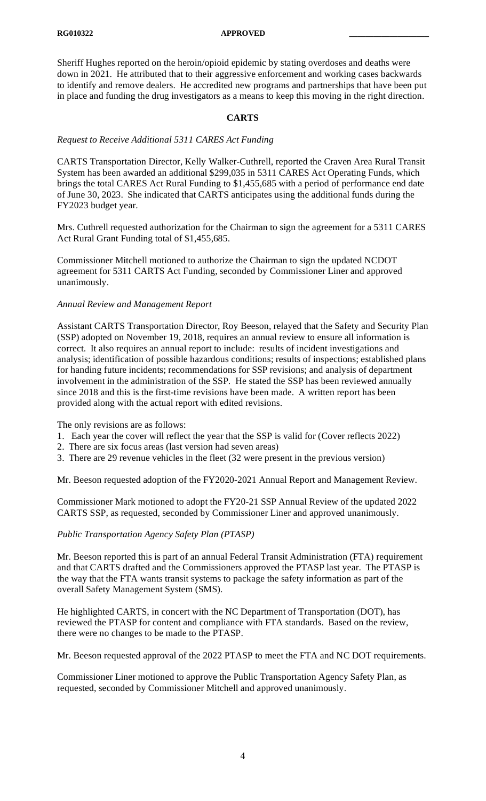#### **RG010322 APPROVED \_\_\_\_\_\_\_\_\_\_\_\_\_\_\_\_\_\_\_\_**

Sheriff Hughes reported on the heroin/opioid epidemic by stating overdoses and deaths were down in 2021. He attributed that to their aggressive enforcement and working cases backwards to identify and remove dealers. He accredited new programs and partnerships that have been put in place and funding the drug investigators as a means to keep this moving in the right direction.

## **CARTS**

# *Request to Receive Additional 5311 CARES Act Funding*

CARTS Transportation Director, Kelly Walker-Cuthrell, reported the Craven Area Rural Transit System has been awarded an additional \$299,035 in 5311 CARES Act Operating Funds, which brings the total CARES Act Rural Funding to \$1,455,685 with a period of performance end date of June 30, 2023. She indicated that CARTS anticipates using the additional funds during the FY2023 budget year.

Mrs. Cuthrell requested authorization for the Chairman to sign the agreement for a 5311 CARES Act Rural Grant Funding total of \$1,455,685.

Commissioner Mitchell motioned to authorize the Chairman to sign the updated NCDOT agreement for 5311 CARTS Act Funding, seconded by Commissioner Liner and approved unanimously.

## *Annual Review and Management Report*

Assistant CARTS Transportation Director, Roy Beeson, relayed that the Safety and Security Plan (SSP) adopted on November 19, 2018, requires an annual review to ensure all information is correct. It also requires an annual report to include: results of incident investigations and analysis; identification of possible hazardous conditions; results of inspections; established plans for handing future incidents; recommendations for SSP revisions; and analysis of department involvement in the administration of the SSP. He stated the SSP has been reviewed annually since 2018 and this is the first-time revisions have been made. A written report has been provided along with the actual report with edited revisions.

The only revisions are as follows:

- 1. Each year the cover will reflect the year that the SSP is valid for (Cover reflects 2022)
- 2. There are six focus areas (last version had seven areas)
- 3. There are 29 revenue vehicles in the fleet (32 were present in the previous version)

Mr. Beeson requested adoption of the FY2020-2021 Annual Report and Management Review.

Commissioner Mark motioned to adopt the FY20-21 SSP Annual Review of the updated 2022 CARTS SSP, as requested, seconded by Commissioner Liner and approved unanimously.

## *Public Transportation Agency Safety Plan (PTASP)*

Mr. Beeson reported this is part of an annual Federal Transit Administration (FTA) requirement and that CARTS drafted and the Commissioners approved the PTASP last year. The PTASP is the way that the FTA wants transit systems to package the safety information as part of the overall Safety Management System (SMS).

He highlighted CARTS, in concert with the NC Department of Transportation (DOT), has reviewed the PTASP for content and compliance with FTA standards. Based on the review, there were no changes to be made to the PTASP.

Mr. Beeson requested approval of the 2022 PTASP to meet the FTA and NC DOT requirements.

Commissioner Liner motioned to approve the Public Transportation Agency Safety Plan, as requested, seconded by Commissioner Mitchell and approved unanimously.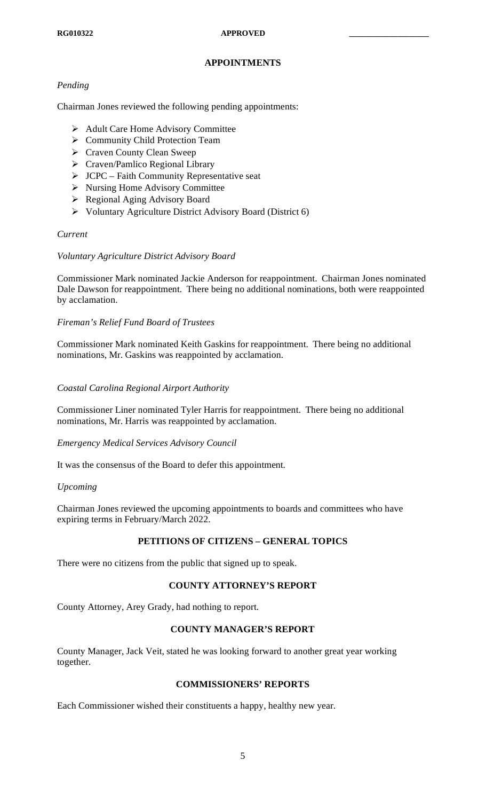# **APPOINTMENTS**

# *Pending*

Chairman Jones reviewed the following pending appointments:

- **►** Adult Care Home Advisory Committee
- ▶ Community Child Protection Team
- ▶ Craven County Clean Sweep
- Craven/Pamlico Regional Library
- $\triangleright$  JCPC Faith Community Representative seat
- $\triangleright$  Nursing Home Advisory Committee
- $\triangleright$  Regional Aging Advisory Board
- Voluntary Agriculture District Advisory Board (District 6)

## *Current*

## *Voluntary Agriculture District Advisory Board*

Commissioner Mark nominated Jackie Anderson for reappointment. Chairman Jones nominated Dale Dawson for reappointment. There being no additional nominations, both were reappointed by acclamation.

## *Fireman's Relief Fund Board of Trustees*

Commissioner Mark nominated Keith Gaskins for reappointment. There being no additional nominations, Mr. Gaskins was reappointed by acclamation.

## *Coastal Carolina Regional Airport Authority*

Commissioner Liner nominated Tyler Harris for reappointment. There being no additional nominations, Mr. Harris was reappointed by acclamation.

## *Emergency Medical Services Advisory Council*

It was the consensus of the Board to defer this appointment.

## *Upcoming*

Chairman Jones reviewed the upcoming appointments to boards and committees who have expiring terms in February/March 2022.

# **PETITIONS OF CITIZENS – GENERAL TOPICS**

There were no citizens from the public that signed up to speak.

# **COUNTY ATTORNEY'S REPORT**

County Attorney, Arey Grady, had nothing to report.

## **COUNTY MANAGER'S REPORT**

County Manager, Jack Veit, stated he was looking forward to another great year working together.

## **COMMISSIONERS' REPORTS**

Each Commissioner wished their constituents a happy, healthy new year.